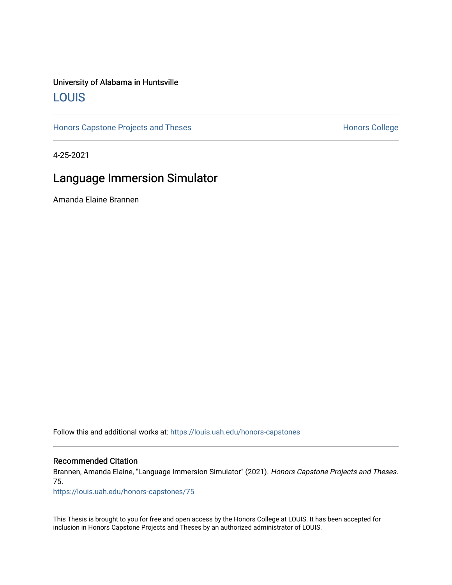### University of Alabama in Huntsville [LOUIS](https://louis.uah.edu/)

[Honors Capstone Projects and Theses](https://louis.uah.edu/honors-capstones) **Honors College** Honors College

4-25-2021

## Language Immersion Simulator

Amanda Elaine Brannen

Follow this and additional works at: [https://louis.uah.edu/honors-capstones](https://louis.uah.edu/honors-capstones?utm_source=louis.uah.edu%2Fhonors-capstones%2F75&utm_medium=PDF&utm_campaign=PDFCoverPages) 

#### Recommended Citation

Brannen, Amanda Elaine, "Language Immersion Simulator" (2021). Honors Capstone Projects and Theses. 75.

[https://louis.uah.edu/honors-capstones/75](https://louis.uah.edu/honors-capstones/75?utm_source=louis.uah.edu%2Fhonors-capstones%2F75&utm_medium=PDF&utm_campaign=PDFCoverPages)

This Thesis is brought to you for free and open access by the Honors College at LOUIS. It has been accepted for inclusion in Honors Capstone Projects and Theses by an authorized administrator of LOUIS.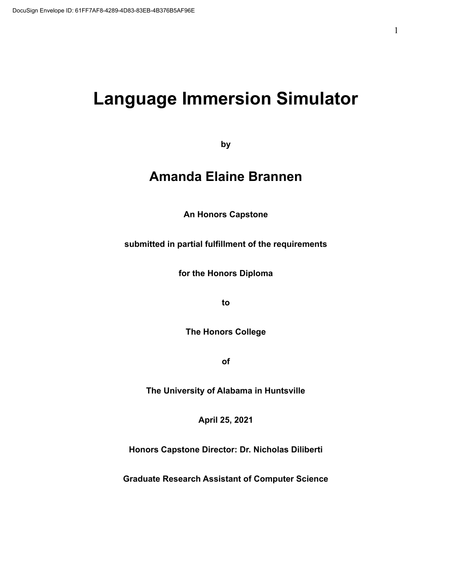# **Language Immersion Simulator**

**by**

# **Amanda Elaine Brannen**

**An Honors Capstone**

**submitted in partial fulfillment of the requirements**

**for the Honors Diploma**

**to**

**The Honors College**

**of**

**The University of Alabama in Huntsville**

**April 25, 2021**

**Honors Capstone Director: Dr. Nicholas Diliberti**

**Graduate Research Assistant of Computer Science**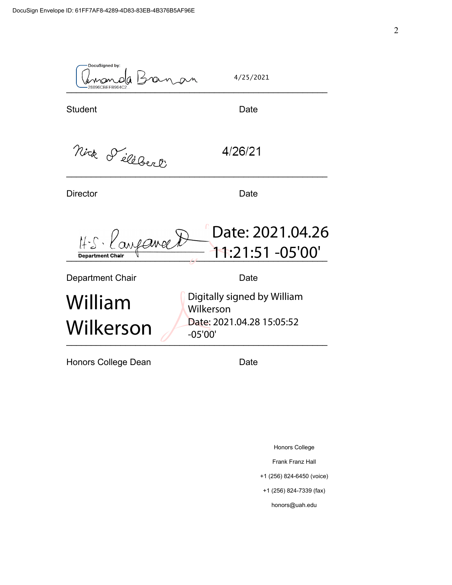DocuSigned by: 4/25/2021 Man  $-$ 28896CBEFB964C2... Student Date Nick d'éléberl 4/26/21 Director **Director** Date Date: 2021.04.26 H.S. Langance t \_\_\_\_\_\_\_\_\_\_\_\_\_\_\_\_\_\_\_\_\_\_\_\_\_\_\_\_\_\_\_\_\_\_\_\_\_\_\_\_\_\_\_\_\_\_\_\_\_\_\_\_\_ 11:21:51 -05'00' Department Chair **Date** Date Digitally signed by William William Wilkerson Date: 2021.04.28 15:05:52 Wilkerson -05'00' $\overline{U}$  as as  $\overline{U}$ Honors College Dean **Date** 

Honors College

Frank Franz Hall

+1 (256) 824-6450 (voice)

+1 (256) 824-7339 (fax)

honors@uah.edu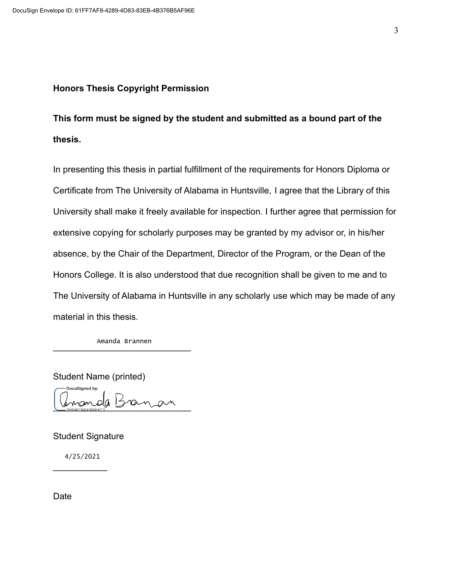### **Honors Thesis Copyright Permission**

**This form must be signed by the student and submitted as a bound part of the thesis.**

In presenting this thesis in partial fulfillment of the requirements for Honors Diploma or Certificate from The University of Alabama in Huntsville, I agree that the Library of this University shall make it freely available for inspection. I further agree that permission for extensive copying for scholarly purposes may be granted by my advisor or, in his/her absence, by the Chair of the Department, Director of the Program, or the Dean of the Honors College. It is also understood that due recognition shall be given to me and to The University of Alabama in Huntsville in any scholarly use which may be made of any material in this thesis.

 $r$ <sup>1</sup>  $\frac{1}{2}$   $\frac{1}{2}$   $\frac{1}{2}$   $\frac{1}{2}$   $\frac{1}{2}$   $\frac{1}{2}$ Amanda Brannen

Student Name (printed) DocuSigned by:  $1$ 

Student Signature

 $\frac{1}{2}$ 4/25/2021

**Date**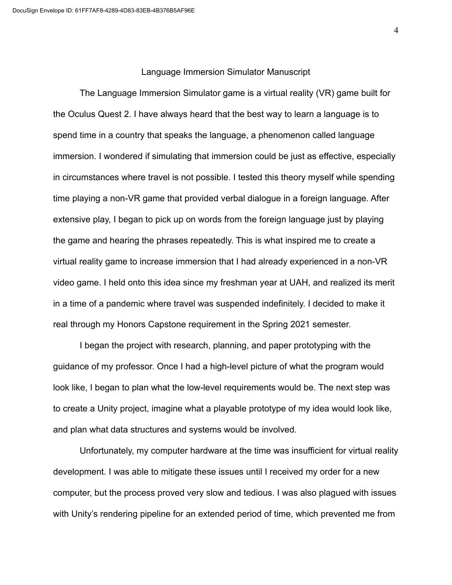#### Language Immersion Simulator Manuscript

The Language Immersion Simulator game is a virtual reality (VR) game built for the Oculus Quest 2. I have always heard that the best way to learn a language is to spend time in a country that speaks the language, a phenomenon called language immersion. I wondered if simulating that immersion could be just as effective, especially in circumstances where travel is not possible. I tested this theory myself while spending time playing a non-VR game that provided verbal dialogue in a foreign language. After extensive play, I began to pick up on words from the foreign language just by playing the game and hearing the phrases repeatedly. This is what inspired me to create a virtual reality game to increase immersion that I had already experienced in a non-VR video game. I held onto this idea since my freshman year at UAH, and realized its merit in a time of a pandemic where travel was suspended indefinitely. I decided to make it real through my Honors Capstone requirement in the Spring 2021 semester.

I began the project with research, planning, and paper prototyping with the guidance of my professor. Once I had a high-level picture of what the program would look like, I began to plan what the low-level requirements would be. The next step was to create a Unity project, imagine what a playable prototype of my idea would look like, and plan what data structures and systems would be involved.

Unfortunately, my computer hardware at the time was insufficient for virtual reality development. I was able to mitigate these issues until I received my order for a new computer, but the process proved very slow and tedious. I was also plagued with issues with Unity's rendering pipeline for an extended period of time, which prevented me from

4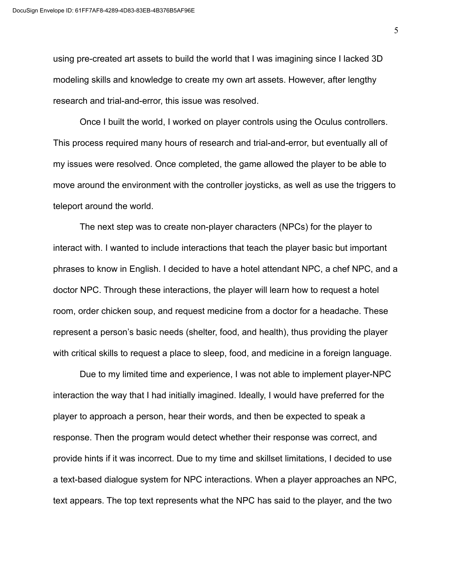using pre-created art assets to build the world that I was imagining since I lacked 3D modeling skills and knowledge to create my own art assets. However, after lengthy research and trial-and-error, this issue was resolved.

Once I built the world, I worked on player controls using the Oculus controllers. This process required many hours of research and trial-and-error, but eventually all of my issues were resolved. Once completed, the game allowed the player to be able to move around the environment with the controller joysticks, as well as use the triggers to teleport around the world.

The next step was to create non-player characters (NPCs) for the player to interact with. I wanted to include interactions that teach the player basic but important phrases to know in English. I decided to have a hotel attendant NPC, a chef NPC, and a doctor NPC. Through these interactions, the player will learn how to request a hotel room, order chicken soup, and request medicine from a doctor for a headache. These represent a person's basic needs (shelter, food, and health), thus providing the player with critical skills to request a place to sleep, food, and medicine in a foreign language.

Due to my limited time and experience, I was not able to implement player-NPC interaction the way that I had initially imagined. Ideally, I would have preferred for the player to approach a person, hear their words, and then be expected to speak a response. Then the program would detect whether their response was correct, and provide hints if it was incorrect. Due to my time and skillset limitations, I decided to use a text-based dialogue system for NPC interactions. When a player approaches an NPC, text appears. The top text represents what the NPC has said to the player, and the two

5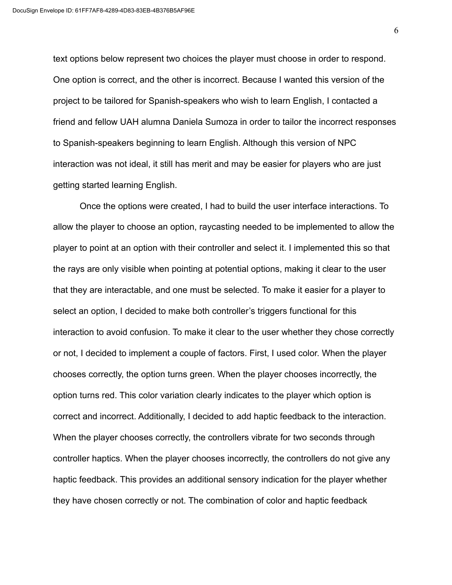text options below represent two choices the player must choose in order to respond. One option is correct, and the other is incorrect. Because I wanted this version of the project to be tailored for Spanish-speakers who wish to learn English, I contacted a friend and fellow UAH alumna Daniela Sumoza in order to tailor the incorrect responses to Spanish-speakers beginning to learn English. Although this version of NPC interaction was not ideal, it still has merit and may be easier for players who are just getting started learning English.

Once the options were created, I had to build the user interface interactions. To allow the player to choose an option, raycasting needed to be implemented to allow the player to point at an option with their controller and select it. I implemented this so that the rays are only visible when pointing at potential options, making it clear to the user that they are interactable, and one must be selected. To make it easier for a player to select an option, I decided to make both controller's triggers functional for this interaction to avoid confusion. To make it clear to the user whether they chose correctly or not, I decided to implement a couple of factors. First, I used color. When the player chooses correctly, the option turns green. When the player chooses incorrectly, the option turns red. This color variation clearly indicates to the player which option is correct and incorrect. Additionally, I decided to add haptic feedback to the interaction. When the player chooses correctly, the controllers vibrate for two seconds through controller haptics. When the player chooses incorrectly, the controllers do not give any haptic feedback. This provides an additional sensory indication for the player whether they have chosen correctly or not. The combination of color and haptic feedback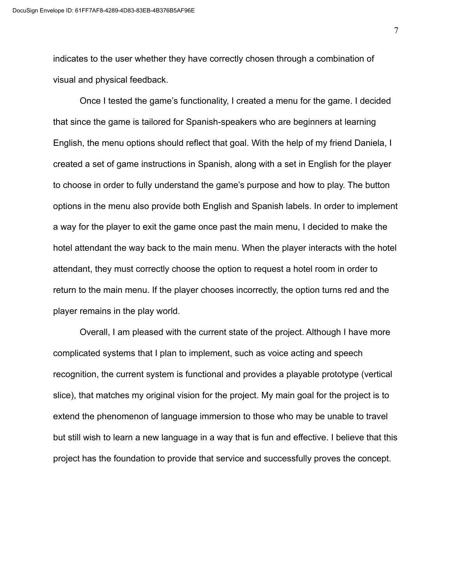indicates to the user whether they have correctly chosen through a combination of visual and physical feedback.

Once I tested the game's functionality, I created a menu for the game. I decided that since the game is tailored for Spanish-speakers who are beginners at learning English, the menu options should reflect that goal. With the help of my friend Daniela, I created a set of game instructions in Spanish, along with a set in English for the player to choose in order to fully understand the game's purpose and how to play. The button options in the menu also provide both English and Spanish labels. In order to implement a way for the player to exit the game once past the main menu, I decided to make the hotel attendant the way back to the main menu. When the player interacts with the hotel attendant, they must correctly choose the option to request a hotel room in order to return to the main menu. If the player chooses incorrectly, the option turns red and the player remains in the play world.

Overall, I am pleased with the current state of the project. Although I have more complicated systems that I plan to implement, such as voice acting and speech recognition, the current system is functional and provides a playable prototype (vertical slice), that matches my original vision for the project. My main goal for the project is to extend the phenomenon of language immersion to those who may be unable to travel but still wish to learn a new language in a way that is fun and effective. I believe that this project has the foundation to provide that service and successfully proves the concept.

7